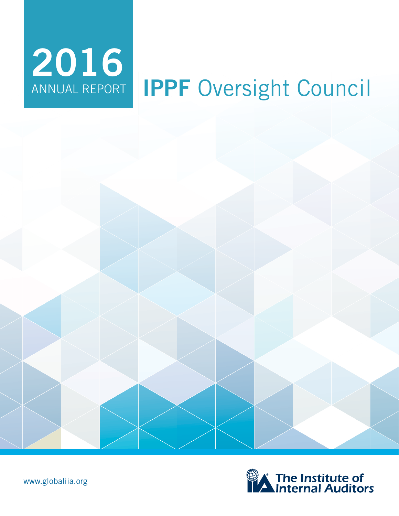# **IPPF** Oversight Council 2016<br>ANNUAL REPORT





www.globaliia.org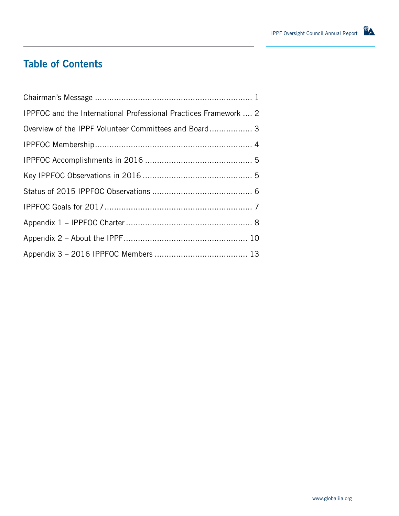# **Table of Contents**

| IPPFOC and the International Professional Practices Framework  2 |
|------------------------------------------------------------------|
| Overview of the IPPF Volunteer Committees and Board 3            |
|                                                                  |
|                                                                  |
|                                                                  |
|                                                                  |
|                                                                  |
|                                                                  |
|                                                                  |
|                                                                  |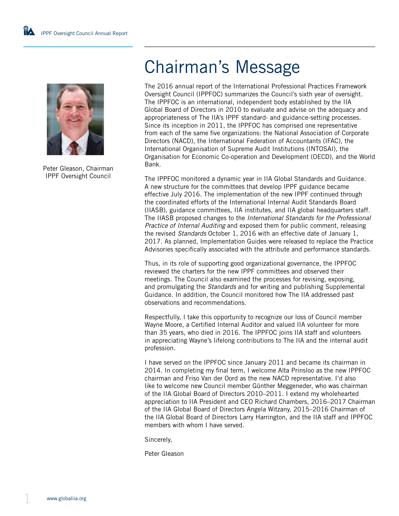

Peter Gleason, Chairman IPPF Oversight Council

# Chairman's Message

The 2016 annual report of the International Professional Practices Framework Oversight Council (IPPFOC) summarizes the Council's sixth year of oversight. The IPPFOC is an international, independent body established by the IIA Global Board of Directors in 2010 to evaluate and advise on the adequacy and appropriateness of The IIA's IPPF standard- and guidance-setting processes. Since its inception in 2011, the IPPFOC has comprised one representative from each of the same five organizations: the National Association of Corporate Directors (NACD), the International Federation of Accountants (IFAC), the International Organisation of Supreme Audit Institutions (INTOSAI), the Organisation for Economic Co-operation and Development (OECD), and the World Bank.

The IPPFOC monitored a dynamic year in IIA Global Standards and Guidance. A new structure for the committees that develop IPPF guidance became effective July 2016. The implementation of the new IPPF continued through the coordinated efforts of the International Internal Audit Standards Board (IIASB), guidance committees, IIA institutes, and IIA global headquarters staff. The IIASB proposed changes to the *International Standards for the Professional Practice of Internal Auditing* and exposed them for public comment, releasing the revised *Standards* October 1, 2016 with an effective date of January 1, 2017. As planned, Implementation Guides were released to replace the Practice Advisories specifically associated with the attribute and performance standards.

Thus, in its role of supporting good organizational governance, the IPPFOC reviewed the charters for the new IPPF committees and observed their meetings. The Council also examined the processes for revising, exposing, and promulgating the *Standards* and for writing and publishing Supplemental Guidance. In addition, the Council monitored how The IIA addressed past observations and recommendations.

Respectfully, I take this opportunity to recognize our loss of Council member Wayne Moore, a Certified Internal Auditor and valued IIA volunteer for more than 35 years, who died in 2016. The IPPFOC joins IIA staff and volunteers in appreciating Wayne's lifelong contributions to The IIA and the internal audit profession.

I have served on the IPPFOC since January 2011 and became its chairman in 2014. In completing my final term, I welcome Alta Prinsloo as the new IPPFOC chairman and Friso Van der Oord as the new NACD representative. I'd also like to welcome new Council member Günther Meggeneder, who was chairman of the IIA Global Board of Directors 2010–2011. I extend my wholehearted appreciation to IIA President and CEO Richard Chambers, 2016–2017 Chairman of the IIA Global Board of Directors Angela Witzany, 2015–2016 Chairman of the IIA Global Board of Directors Larry Harrington, and the IIA staff and IPPFOC members with whom I have served.

Sincerely,

Peter Gleason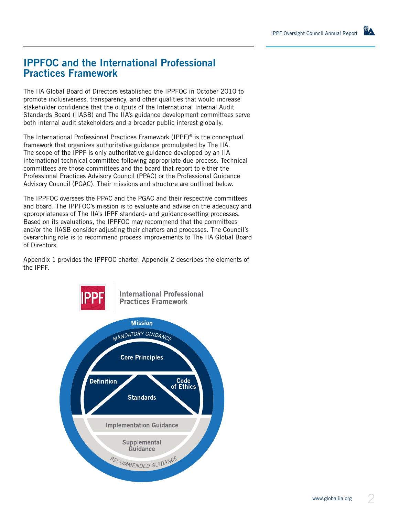# **IPPFOC and the International Professional Practices Framework**

The IIA Global Board of Directors established the IPPFOC in October 2010 to promote inclusiveness, transparency, and other qualities that would increase stakeholder confidence that the outputs of the International Internal Audit Standards Board (IIASB) and The IIA's guidance development committees serve both internal audit stakeholders and a broader public interest globally.

The International Professional Practices Framework (IPPF)® is the conceptual framework that organizes authoritative guidance promulgated by The IIA. The scope of the IPPF is only authoritative guidance developed by an IIA international technical committee following appropriate due process. Technical committees are those committees and the board that report to either the Professional Practices Advisory Council (PPAC) or the Professional Guidance Advisory Council (PGAC). Their missions and structure are outlined below.

The IPPFOC oversees the PPAC and the PGAC and their respective committees and board. The IPPFOC's mission is to evaluate and advise on the adequacy and appropriateness of The IIA's IPPF standard- and guidance-setting processes. Based on its evaluations, the IPPFOC may recommend that the committees and/or the IIASB consider adjusting their charters and processes. The Council's overarching role is to recommend process improvements to The IIA Global Board of Directors.

Appendix 1 provides the IPPFOC charter. Appendix 2 describes the elements of the IPPF.

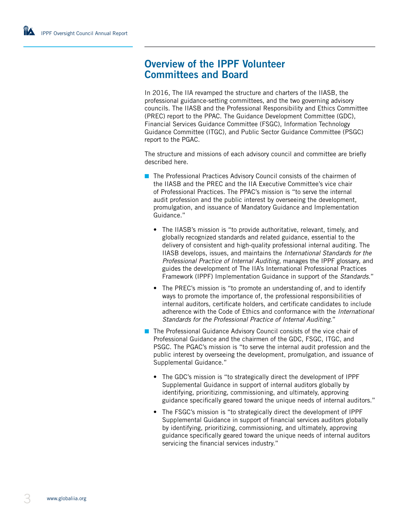## **Overview of the IPPF Volunteer Committees and Board**

In 2016, The IIA revamped the structure and charters of the IIASB, the professional guidance-setting committees, and the two governing advisory councils. The IIASB and the Professional Responsibility and Ethics Committee (PREC) report to the PPAC. The Guidance Development Committee (GDC), Financial Services Guidance Committee (FSGC), Information Technology Guidance Committee (ITGC), and Public Sector Guidance Committee (PSGC) report to the PGAC.

The structure and missions of each advisory council and committee are briefly described here.

- The Professional Practices Advisory Council consists of the chairmen of the IIASB and the PREC and the IIA Executive Committee's vice chair of Professional Practices. The PPAC's mission is "to serve the internal audit profession and the public interest by overseeing the development, promulgation, and issuance of Mandatory Guidance and Implementation Guidance."
	- The IIASB's mission is "to provide authoritative, relevant, timely, and globally recognized standards and related guidance, essential to the delivery of consistent and high-quality professional internal auditing. The IIASB develops, issues, and maintains the *International Standards for the Professional Practice of Internal Auditing*, manages the IPPF glossary, and guides the development of The IIA's International Professional Practices Framework (IPPF) Implementation Guidance in support of the *Standards*."
	- The PREC's mission is "to promote an understanding of, and to identify ways to promote the importance of, the professional responsibilities of internal auditors, certificate holders, and certificate candidates to include adherence with the Code of Ethics and conformance with the *International Standards for the Professional Practice of Internal Auditing*."
- The Professional Guidance Advisory Council consists of the vice chair of Professional Guidance and the chairmen of the GDC, FSGC, ITGC, and PSGC. The PGAC's mission is "to serve the internal audit profession and the public interest by overseeing the development, promulgation, and issuance of Supplemental Guidance."
	- The GDC's mission is "to strategically direct the development of IPPF Supplemental Guidance in support of internal auditors globally by identifying, prioritizing, commissioning, and ultimately, approving guidance specifically geared toward the unique needs of internal auditors."
	- The FSGC's mission is "to strategically direct the development of IPPF Supplemental Guidance in support of financial services auditors globally by identifying, prioritizing, commissioning, and ultimately, approving guidance specifically geared toward the unique needs of internal auditors servicing the financial services industry."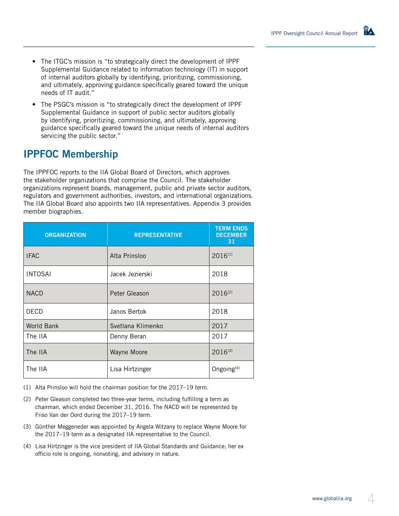- The ITGC's mission is "to strategically direct the development of IPPF Supplemental Guidance related to information technology (IT) in support of internal auditors globally by identifying, prioritizing, commissioning, and ultimately, approving guidance specifically geared toward the unique needs of IT audit."
- The PSGC's mission is "to strategically direct the development of IPPF Supplemental Guidance in support of public sector auditors globally by identifying, prioritizing, commissioning, and ultimately, approving guidance specifically geared toward the unique needs of internal auditors servicing the public sector."

# **IPPFOC Membership**

The IPPFOC reports to the IIA Global Board of Directors, which approves the stakeholder organizations that comprise the Council. The stakeholder organizations represent boards, management, public and private sector auditors, regulators and government authorities, investors, and international organizations. The IIA Global Board also appoints two IIA representatives. Appendix 3 provides member biographies.

| <b>ORGANIZATION</b> | <b>REPRESENTATIVE</b> | <b>TERM ENDS</b><br><b>DECEMBER</b><br>31 |
|---------------------|-----------------------|-------------------------------------------|
| <b>IFAC</b>         | Alta Prinsloo         | $2016^{(1)}$                              |
| <b>INTOSAI</b>      | Jacek Jezierski       | 2018                                      |
| <b>NACD</b>         | Peter Gleason         | $2016^{(2)}$                              |
| <b>OECD</b>         | Janos Bertok          | 2018                                      |
| World Bank          | Svetlana Klimenko     | 2017                                      |
| The IIA             | Denny Beran           | 2017                                      |
| The IIA             | Wayne Moore           | $2016^{(3)}$                              |
| The IIA             | Lisa Hirtzinger       | Ongoing <sup>(4)</sup>                    |

(1) Alta Prinsloo will hold the chairman position for the 2017–19 term.

- (2) Peter Gleason completed two three-year terms, including fulfilling a term as chairman, which ended December 31, 2016. The NACD will be represented by Friso Van der Oord during the 2017–19 term.
- (3) Günther Meggeneder was appointed by Angela Witzany to replace Wayne Moore for the 2017–19 term as a designated IIA representative to the Council.
- (4) Lisa Hirtzinger is the vice president of IIA Global Standards and Guidance; her ex officio role is ongoing, nonvoting, and advisory in nature.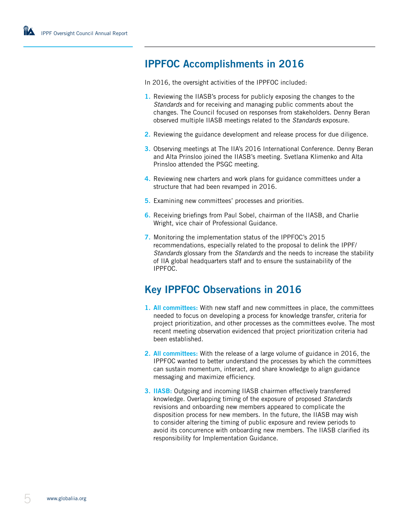# **IPPFOC Accomplishments in 2016**

In 2016, the oversight activities of the IPPFOC included:

- **1.** Reviewing the IIASB's process for publicly exposing the changes to the *Standards* and for receiving and managing public comments about the changes. The Council focused on responses from stakeholders. Denny Beran observed multiple IIASB meetings related to the *Standards* exposure.
- **2.** Reviewing the guidance development and release process for due diligence.
- **3.** Observing meetings at The IIA's 2016 International Conference. Denny Beran and Alta Prinsloo joined the IIASB's meeting. Svetlana Klimenko and Alta Prinsloo attended the PSGC meeting.
- **4.** Reviewing new charters and work plans for guidance committees under a structure that had been revamped in 2016.
- **5.** Examining new committees' processes and priorities.
- **6.** Receiving briefings from Paul Sobel, chairman of the IIASB, and Charlie Wright, vice chair of Professional Guidance.
- **7.** Monitoring the implementation status of the IPPFOC's 2015 recommendations, especially related to the proposal to delink the IPPF/ *Standards* glossary from the *Standards* and the needs to increase the stability of IIA global headquarters staff and to ensure the sustainability of the IPPFOC.

# **Key IPPFOC Observations in 2016**

- **1. All committees:** With new staff and new committees in place, the committees needed to focus on developing a process for knowledge transfer, criteria for project prioritization, and other processes as the committees evolve. The most recent meeting observation evidenced that project prioritization criteria had been established.
- **2. All committees:** With the release of a large volume of guidance in 2016, the IPPFOC wanted to better understand the processes by which the committees can sustain momentum, interact, and share knowledge to align guidance messaging and maximize efficiency.
- **3. IIASB:** Outgoing and incoming IIASB chairmen effectively transferred knowledge. Overlapping timing of the exposure of proposed *Standards* revisions and onboarding new members appeared to complicate the disposition process for new members. In the future, the IIASB may wish to consider altering the timing of public exposure and review periods to avoid its concurrence with onboarding new members. The IIASB clarified its responsibility for Implementation Guidance.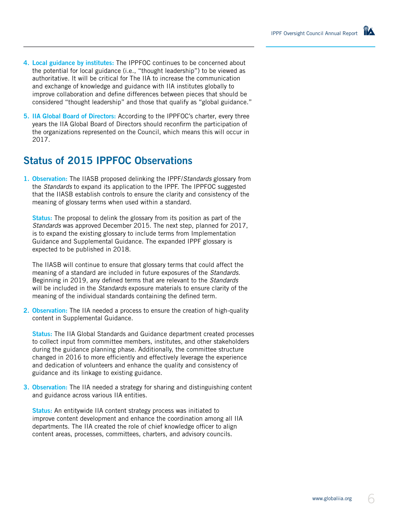- **4. Local guidance by institutes:** The IPPFOC continues to be concerned about the potential for local guidance (i.e., "thought leadership") to be viewed as authoritative. It will be critical for The IIA to increase the communication and exchange of knowledge and guidance with IIA institutes globally to improve collaboration and define differences between pieces that should be considered "thought leadership" and those that qualify as "global guidance."
- **5. IIA Global Board of Directors:** According to the IPPFOC's charter, every three years the IIA Global Board of Directors should reconfirm the participation of the organizations represented on the Council, which means this will occur in 2017.

# **Status of 2015 IPPFOC Observations**

**1. Observation:** The IIASB proposed delinking the IPPF/*Standards* glossary from the *Standards* to expand its application to the IPPF. The IPPFOC suggested that the IIASB establish controls to ensure the clarity and consistency of the meaning of glossary terms when used within a standard.

**Status:** The proposal to delink the glossary from its position as part of the *Standards* was approved December 2015. The next step, planned for 2017, is to expand the existing glossary to include terms from Implementation Guidance and Supplemental Guidance. The expanded IPPF glossary is expected to be published in 2018.

The IIASB will continue to ensure that glossary terms that could affect the meaning of a standard are included in future exposures of the *Standards*. Beginning in 2019, any defined terms that are relevant to the *Standards* will be included in the *Standards* exposure materials to ensure clarity of the meaning of the individual standards containing the defined term.

**2. Observation:** The IIA needed a process to ensure the creation of high-quality content in Supplemental Guidance.

**Status:** The IIA Global Standards and Guidance department created processes to collect input from committee members, institutes, and other stakeholders during the guidance planning phase. Additionally, the committee structure changed in 2016 to more efficiently and effectively leverage the experience and dedication of volunteers and enhance the quality and consistency of guidance and its linkage to existing guidance.

**3. Observation:** The IIA needed a strategy for sharing and distinguishing content and guidance across various IIA entities.

**Status:** An entitywide IIA content strategy process was initiated to improve content development and enhance the coordination among all IIA departments. The IIA created the role of chief knowledge officer to align content areas, processes, committees, charters, and advisory councils.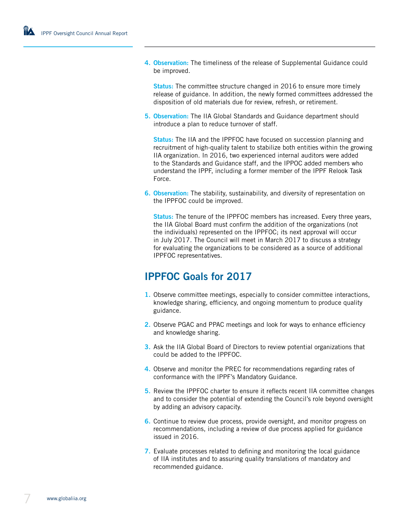**4. Observation:** The timeliness of the release of Supplemental Guidance could be improved.

**Status:** The committee structure changed in 2016 to ensure more timely release of guidance. In addition, the newly formed committees addressed the disposition of old materials due for review, refresh, or retirement.

**5. Observation:** The IIA Global Standards and Guidance department should introduce a plan to reduce turnover of staff.

**Status:** The IIA and the IPPFOC have focused on succession planning and recruitment of high-quality talent to stabilize both entities within the growing IIA organization. In 2016, two experienced internal auditors were added to the Standards and Guidance staff, and the IPPOC added members who understand the IPPF, including a former member of the IPPF Relook Task Force.

**6. Observation:** The stability, sustainability, and diversity of representation on the IPPFOC could be improved.

**Status:** The tenure of the IPPFOC members has increased. Every three years, the IIA Global Board must confirm the addition of the organizations (not the individuals) represented on the IPPFOC; its next approval will occur in July 2017. The Council will meet in March 2017 to discuss a strategy for evaluating the organizations to be considered as a source of additional IPPFOC representatives.

### **IPPFOC Goals for 2017**

- **1.** Observe committee meetings, especially to consider committee interactions, knowledge sharing, efficiency, and ongoing momentum to produce quality guidance.
- **2.** Observe PGAC and PPAC meetings and look for ways to enhance efficiency and knowledge sharing.
- **3.** Ask the IIA Global Board of Directors to review potential organizations that could be added to the IPPFOC.
- **4.** Observe and monitor the PREC for recommendations regarding rates of conformance with the IPPF's Mandatory Guidance.
- **5.** Review the IPPFOC charter to ensure it reflects recent IIA committee changes and to consider the potential of extending the Council's role beyond oversight by adding an advisory capacity.
- **6.** Continue to review due process, provide oversight, and monitor progress on recommendations, including a review of due process applied for guidance issued in 2016.
- **7.** Evaluate processes related to defining and monitoring the local guidance of IIA institutes and to assuring quality translations of mandatory and recommended guidance.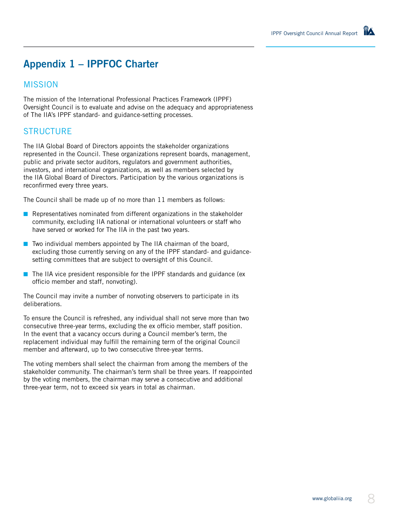# **Appendix 1 – IPPFOC Charter**

#### MISSION

The mission of the International Professional Practices Framework (IPPF) Oversight Council is to evaluate and advise on the adequacy and appropriateness of The IIA's IPPF standard- and guidance-setting processes.

#### STRUCTURE

The IIA Global Board of Directors appoints the stakeholder organizations represented in the Council. These organizations represent boards, management, public and private sector auditors, regulators and government authorities, investors, and international organizations, as well as members selected by the IIA Global Board of Directors. Participation by the various organizations is reconfirmed every three years.

The Council shall be made up of no more than 11 members as follows:

- Representatives nominated from different organizations in the stakeholder community, excluding IIA national or international volunteers or staff who have served or worked for The IIA in the past two years.
- Two individual members appointed by The IIA chairman of the board, excluding those currently serving on any of the IPPF standard- and guidancesetting committees that are subject to oversight of this Council.
- The IIA vice president responsible for the IPPF standards and guidance (ex officio member and staff, nonvoting).

The Council may invite a number of nonvoting observers to participate in its deliberations.

To ensure the Council is refreshed, any individual shall not serve more than two consecutive three-year terms, excluding the ex officio member, staff position. In the event that a vacancy occurs during a Council member's term, the replacement individual may fulfill the remaining term of the original Council member and afterward, up to two consecutive three-year terms.

The voting members shall select the chairman from among the members of the stakeholder community. The chairman's term shall be three years. If reappointed by the voting members, the chairman may serve a consecutive and additional three-year term, not to exceed six years in total as chairman.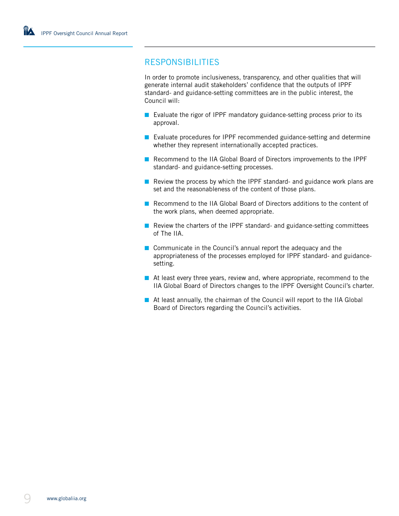#### RESPONSIBILITIES

In order to promote inclusiveness, transparency, and other qualities that will generate internal audit stakeholders' confidence that the outputs of IPPF standard- and guidance-setting committees are in the public interest, the Council will:

- Evaluate the rigor of IPPF mandatory guidance-setting process prior to its approval.
- Evaluate procedures for IPPF recommended guidance-setting and determine whether they represent internationally accepted practices.
- Recommend to the IIA Global Board of Directors improvements to the IPPF standard- and guidance-setting processes.
- Review the process by which the IPPF standard- and guidance work plans are set and the reasonableness of the content of those plans.
- Recommend to the IIA Global Board of Directors additions to the content of the work plans, when deemed appropriate.
- Review the charters of the IPPF standard- and guidance-setting committees of The IIA.
- Communicate in the Council's annual report the adequacy and the appropriateness of the processes employed for IPPF standard- and guidancesetting.
- At least every three years, review and, where appropriate, recommend to the IIA Global Board of Directors changes to the IPPF Oversight Council's charter.
- At least annually, the chairman of the Council will report to the IIA Global Board of Directors regarding the Council's activities.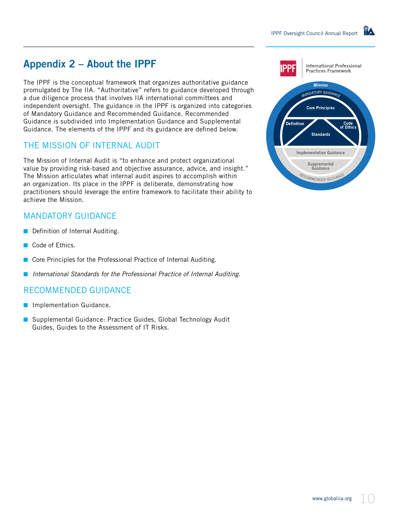# **Appendix 2 – About the IPPF**

The IPPF is the conceptual framework that organizes authoritative guidance promulgated by The IIA. "Authoritative" refers to guidance developed through a due diligence process that involves IIA international committees and independent oversight. The guidance in the IPPF is organized into categories of Mandatory Guidance and Recommended Guidance. Recommended Guidance is subdivided into Implementation Guidance and Supplemental Guidance. The elements of the IPPF and its guidance are defined below.

#### THE MISSION OF INTERNAL AUDIT

The Mission of Internal Audit is "to enhance and protect organizational value by providing risk-based and objective assurance, advice, and insight." The Mission articulates what internal audit aspires to accomplish within an organization. Its place in the IPPF is deliberate, demonstrating how practitioners should leverage the entire framework to facilitate their ability to achieve the Mission.

#### MANDATORY GUIDANCE

- Definition of Internal Auditing.
- Code of Ethics.
- Core Principles for the Professional Practice of Internal Auditing.
- *International Standards for the Professional Practice of Internal Auditing.*

#### RECOMMENDED GUIDANCE

- Implementation Guidance.
- Supplemental Guidance: Practice Guides, Global Technology Audit Guides, Guides to the Assessment of IT Risks.

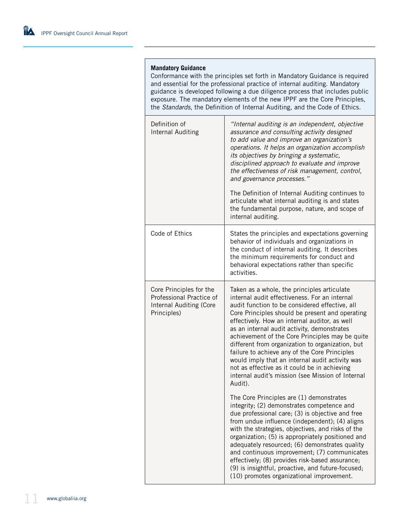#### **Mandatory Guidance**

Conformance with the principles set forth in Mandatory Guidance is required and essential for the professional practice of internal auditing. Mandatory guidance is developed following a due diligence process that includes public exposure. The mandatory elements of the new IPPF are the Core Principles, the *Standards*, the Definition of Internal Auditing, and the Code of Ethics.

| Definition of<br><b>Internal Auditing</b>                                                     | "Internal auditing is an independent, objective<br>assurance and consulting activity designed<br>to add value and improve an organization's<br>operations. It helps an organization accomplish<br>its objectives by bringing a systematic,<br>disciplined approach to evaluate and improve<br>the effectiveness of risk management, control,<br>and governance processes."<br>The Definition of Internal Auditing continues to<br>articulate what internal auditing is and states<br>the fundamental purpose, nature, and scope of<br>internal auditing.                                                                     |
|-----------------------------------------------------------------------------------------------|------------------------------------------------------------------------------------------------------------------------------------------------------------------------------------------------------------------------------------------------------------------------------------------------------------------------------------------------------------------------------------------------------------------------------------------------------------------------------------------------------------------------------------------------------------------------------------------------------------------------------|
| Code of Ethics                                                                                | States the principles and expectations governing<br>behavior of individuals and organizations in<br>the conduct of internal auditing. It describes<br>the minimum requirements for conduct and<br>behavioral expectations rather than specific<br>activities.                                                                                                                                                                                                                                                                                                                                                                |
| Core Principles for the<br>Professional Practice of<br>Internal Auditing (Core<br>Principles) | Taken as a whole, the principles articulate<br>internal audit effectiveness. For an internal<br>audit function to be considered effective, all<br>Core Principles should be present and operating<br>effectively. How an internal auditor, as well<br>as an internal audit activity, demonstrates<br>achievement of the Core Principles may be quite<br>different from organization to organization, but<br>failure to achieve any of the Core Principles<br>would imply that an internal audit activity was<br>not as effective as it could be in achieving<br>internal audit's mission (see Mission of Internal<br>Audit). |
|                                                                                               | The Core Principles are (1) demonstrates<br>integrity; (2) demonstrates competence and<br>due professional care; (3) is objective and free<br>from undue influence (independent); (4) aligns<br>with the strategies, objectives, and risks of the<br>organization; (5) is appropriately positioned and<br>adequately resourced; (6) demonstrates quality<br>and continuous improvement; (7) communicates<br>effectively; (8) provides risk-based assurance;<br>(9) is insightful, proactive, and future-focused;<br>(10) promotes organizational improvement.                                                                |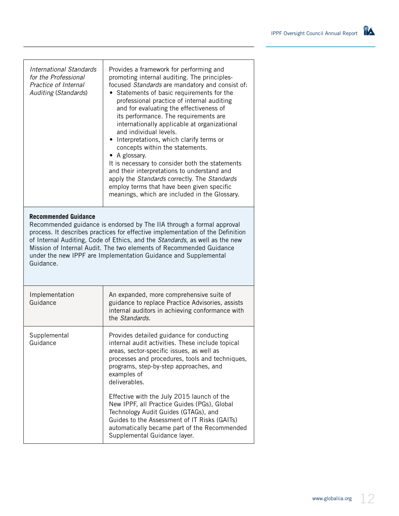| <b>International Standards</b><br>for the Professional<br>Practice of Internal<br><b>Auditing (Standards)</b>                                                                                                                                                                                                                                                                                                                | Provides a framework for performing and<br>promoting internal auditing. The principles-<br>focused Standards are mandatory and consist of:<br>• Statements of basic requirements for the<br>professional practice of internal auditing<br>and for evaluating the effectiveness of<br>its performance. The requirements are<br>internationally applicable at organizational<br>and individual levels.<br>• Interpretations, which clarify terms or<br>concepts within the statements.<br>• A glossary.<br>It is necessary to consider both the statements<br>and their interpretations to understand and<br>apply the Standards correctly. The Standards<br>employ terms that have been given specific<br>meanings, which are included in the Glossary. |  |
|------------------------------------------------------------------------------------------------------------------------------------------------------------------------------------------------------------------------------------------------------------------------------------------------------------------------------------------------------------------------------------------------------------------------------|--------------------------------------------------------------------------------------------------------------------------------------------------------------------------------------------------------------------------------------------------------------------------------------------------------------------------------------------------------------------------------------------------------------------------------------------------------------------------------------------------------------------------------------------------------------------------------------------------------------------------------------------------------------------------------------------------------------------------------------------------------|--|
| <b>Recommended Guidance</b><br>Recommended guidance is endorsed by The IIA through a formal approval<br>process. It describes practices for effective implementation of the Definition<br>of Internal Auditing, Code of Ethics, and the Standards, as well as the new<br>Mission of Internal Audit. The two elements of Recommended Guidance<br>under the new IPPF are Implementation Guidance and Supplemental<br>Guidance. |                                                                                                                                                                                                                                                                                                                                                                                                                                                                                                                                                                                                                                                                                                                                                        |  |
| Implementation<br>Guidance                                                                                                                                                                                                                                                                                                                                                                                                   | An expanded, more comprehensive suite of<br>guidance to replace Practice Advisories, assists<br>internal auditors in achieving conformance with<br>the Standards.                                                                                                                                                                                                                                                                                                                                                                                                                                                                                                                                                                                      |  |
| Supplemental<br>Guidance                                                                                                                                                                                                                                                                                                                                                                                                     | Provides detailed guidance for conducting<br>internal audit activities. These include topical<br>areas, sector-specific issues, as well as<br>processes and procedures, tools and techniques,<br>programs, step-by-step approaches, and<br>examples of<br>deliverables.                                                                                                                                                                                                                                                                                                                                                                                                                                                                                |  |
|                                                                                                                                                                                                                                                                                                                                                                                                                              | Effective with the July 2015 launch of the<br>New IPPF, all Practice Guides (PGs), Global<br>Technology Audit Guides (GTAGs), and<br>Guides to the Assessment of IT Risks (GAITs)<br>automatically became part of the Recommended<br>Supplemental Guidance layer.                                                                                                                                                                                                                                                                                                                                                                                                                                                                                      |  |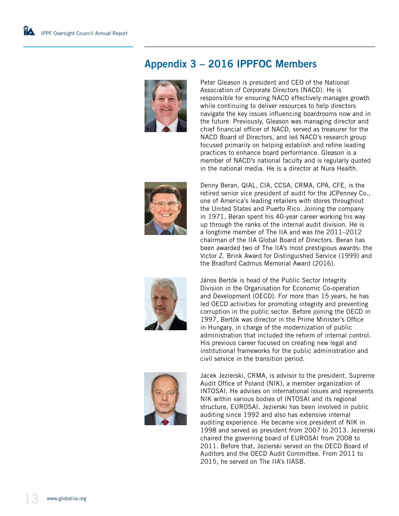# **Appendix 3 – 2016 IPPFOC Members**



Peter Gleason is president and CEO of the National Association of Corporate Directors (NACD). He is responsible for ensuring NACD effectively manages growth while continuing to deliver resources to help directors navigate the key issues influencing boardrooms now and in the future. Previously, Gleason was managing director and chief financial officer of NACD, served as treasurer for the NACD Board of Directors, and led NACD's research group focused primarily on helping establish and refine leading practices to enhance board performance. Gleason is a member of NACD's national faculty and is regularly quoted in the national media. He is a director at Nura Health.



Denny Beran, QIAL, CIA, CCSA, CRMA, CPA, CFE, is the retired senior vice president of audit for the JCPenney Co., one of America's leading retailers with stores throughout the United States and Puerto Rico. Joining the company in 1971, Beran spent his 40-year career working his way up through the ranks of the internal audit division. He is a longtime member of The IIA and was the 2011–2012 chairman of the IIA Global Board of Directors. Beran has been awarded two of The IIA's most prestigious awards: the Victor Z. Brink Award for Distinguished Service (1999) and the Bradford Cadmus Memorial Award (2016).



János Bertók is head of the Public Sector Integrity Division in the Organisation for Economic Co-operation and Development (OECD). For more than 15 years, he has led OECD activities for promoting integrity and preventing corruption in the public sector. Before joining the OECD in 1997, Bertók was director in the Prime Minister's Office in Hungary, in charge of the modernization of public administration that included the reform of internal control. His previous career focused on creating new legal and institutional frameworks for the public administration and civil service in the transition period.



Jacek Jezierski, CRMA, is advisor to the president, Supreme Audit Office of Poland (NIK), a member organization of INTOSAI. He advises on international issues and represents NIK within various bodies of INTOSAI and its regional structure, EUROSAI. Jezierski has been involved in public auditing since 1992 and also has extensive internal auditing experience. He became vice president of NIK in 1998 and served as president from 2007 to 2013. Jezierski chaired the governing board of EUROSAI from 2008 to 2011. Before that, Jezierski served on the OECD Board of Auditors and the OECD Audit Committee. From 2011 to 2015, he served on The IIA's IIASB.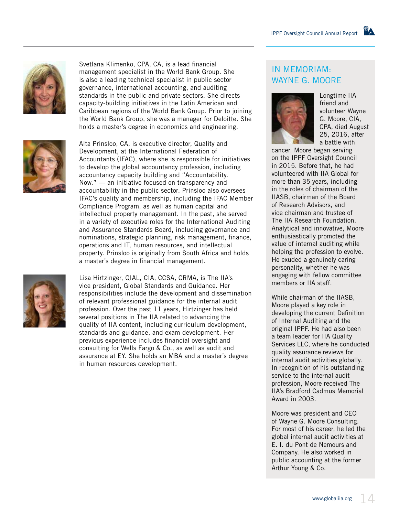

Svetlana Klimenko, CPA, CA, is a lead financial management specialist in the World Bank Group. She is also a leading technical specialist in public sector governance, international accounting, and auditing standards in the public and private sectors. She directs capacity-building initiatives in the Latin American and Caribbean regions of the World Bank Group. Prior to joining the World Bank Group, she was a manager for Deloitte. She holds a master's degree in economics and engineering.



Alta Prinsloo, CA, is executive director, Quality and Development, at the International Federation of Accountants (IFAC), where she is responsible for initiatives to develop the global accountancy profession, including accountancy capacity building and "Accountability. Now." — an initiative focused on transparency and accountability in the public sector. Prinsloo also oversees IFAC's quality and membership, including the IFAC Member Compliance Program, as well as human capital and intellectual property management. In the past, she served in a variety of executive roles for the International Auditing and Assurance Standards Board, including governance and nominations, strategic planning, risk management, finance, operations and IT, human resources, and intellectual property. Prinsloo is originally from South Africa and holds a master's degree in financial management.

Lisa Hirtzinger, QIAL, CIA, CCSA, CRMA, is The IIA's vice president, Global Standards and Guidance. Her responsibilities include the development and dissemination of relevant professional guidance for the internal audit profession. Over the past 11 years, Hirtzinger has held several positions in The IIA related to advancing the quality of IIA content, including curriculum development, standards and guidance, and exam development. Her previous experience includes financial oversight and consulting for Wells Fargo & Co., as well as audit and assurance at EY. She holds an MBA and a master's degree in human resources development.

#### IN MEMORIAM: WAYNE G. MOORE



Longtime IIA friend and volunteer Wayne G. Moore, CIA, CPA, died August 25, 2016, after a battle with

cancer. Moore began serving on the IPPF Oversight Council in 2015. Before that, he had volunteered with IIA Global for more than 35 years, including in the roles of chairman of the IIASB, chairman of the Board of Research Advisors, and vice chairman and trustee of The IIA Research Foundation. Analytical and innovative, Moore enthusiastically promoted the value of internal auditing while helping the profession to evolve. He exuded a genuinely caring personality, whether he was engaging with fellow committee members or IIA staff.

While chairman of the IIASB, Moore played a key role in developing the current Definition of Internal Auditing and the original IPPF. He had also been a team leader for IIA Quality Services LLC, where he conducted quality assurance reviews for internal audit activities globally. In recognition of his outstanding service to the internal audit profession, Moore received The IIA's Bradford Cadmus Memorial Award in 2003.

Moore was president and CEO of Wayne G. Moore Consulting. For most of his career, he led the global internal audit activities at E. I. du Pont de Nemours and Company. He also worked in public accounting at the former Arthur Young & Co.